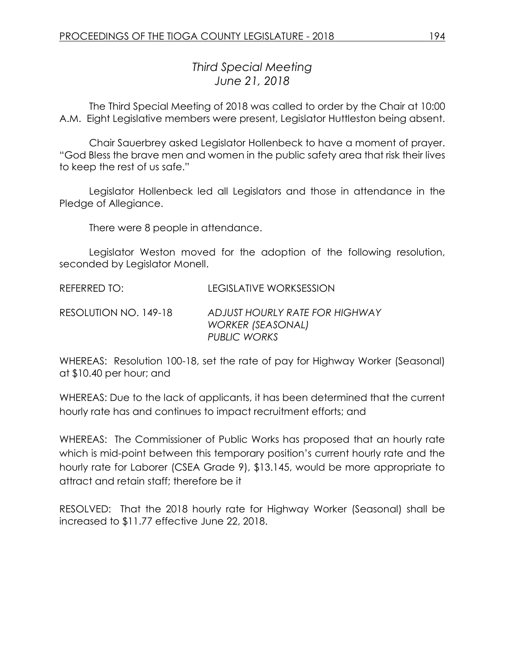## *Third Special Meeting June 21, 2018*

The Third Special Meeting of 2018 was called to order by the Chair at 10:00 A.M. Eight Legislative members were present, Legislator Huttleston being absent.

Chair Sauerbrey asked Legislator Hollenbeck to have a moment of prayer. "God Bless the brave men and women in the public safety area that risk their lives to keep the rest of us safe."

Legislator Hollenbeck led all Legislators and those in attendance in the Pledge of Allegiance.

There were 8 people in attendance.

Legislator Weston moved for the adoption of the following resolution, seconded by Legislator Monell.

REFERRED TO: LEGISLATIVE WORKSESSION

RESOLUTION NO. 149-18 *ADJUST HOURLY RATE FOR HIGHWAY WORKER (SEASONAL) PUBLIC WORKS*

WHEREAS: Resolution 100-18, set the rate of pay for Highway Worker (Seasonal) at \$10.40 per hour; and

WHEREAS: Due to the lack of applicants, it has been determined that the current hourly rate has and continues to impact recruitment efforts; and

WHEREAS: The Commissioner of Public Works has proposed that an hourly rate which is mid-point between this temporary position's current hourly rate and the hourly rate for Laborer (CSEA Grade 9), \$13.145, would be more appropriate to attract and retain staff; therefore be it

RESOLVED: That the 2018 hourly rate for Highway Worker (Seasonal) shall be increased to \$11.77 effective June 22, 2018.